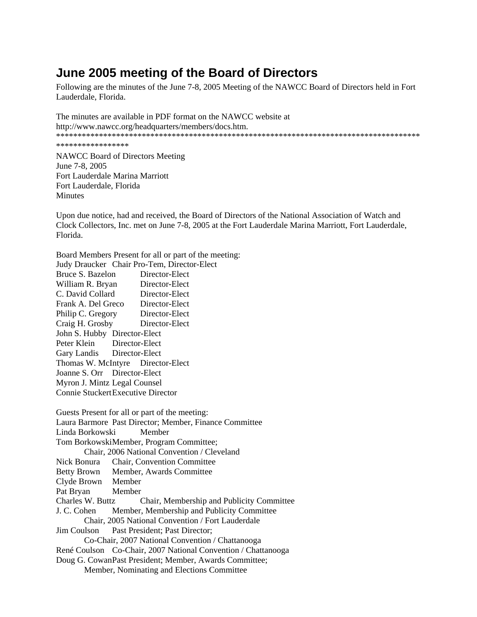## **June 2005 meeting of the Board of Directors**

Following are the minutes of the June 7-8, 2005 Meeting of the NAWCC Board of Directors held in Fort Lauderdale, Florida.

The minutes are available in PDF format on the NAWCC website at http://www.nawcc.org/headquarters/members/docs.htm. \*\*\*\*\*\*\*\*\*\*\*\*\*\*\*\*\*\*\*\*\*\*\*\*\*\*\*\*\*\*\*\*\*\*\*\*\*\*\*\*\*\*\*\*\*\*\*\*\*\*\*\*\*\*\*\*\*\*\*\*\*\*\*\*\*\*\*\*\*\*\*\*\*\*\*\*\*\*\*\*\*\*\*\*\*

\*\*\*\*\*\*\*\*\*\*\*\*\*\*\*\*\*

NAWCC Board of Directors Meeting June 7-8, 2005 Fort Lauderdale Marina Marriott Fort Lauderdale, Florida **Minutes** 

Upon due notice, had and received, the Board of Directors of the National Association of Watch and Clock Collectors, Inc. met on June 7-8, 2005 at the Fort Lauderdale Marina Marriott, Fort Lauderdale, Florida.

Board Members Present for all or part of the meeting:

Judy Draucker Chair Pro-Tem, Director-Elect Bruce S. Bazelon William R. Bryan Director-Elect C. David Collard Director-Elect Frank A. Del Greco Director-Elect Philip C. Gregory Director-Elect Craig H. Grosby Director-Elect John S. Hubby Director-Elect Peter Klein Director-Elect Gary Landis Director-Elect Thomas W. McIntyre Director-Elect Joanne S. Orr Director-Elect Myron J. Mintz Legal Counsel Connie Stuckert Executive Director

Guests Present for all or part of the meeting: Laura Barmore Past Director; Member, Finance Committee Linda Borkowski Member Tom Borkowski Member, Program Committee; Chair, 2006 National Convention / Cleveland Nick Bonura Chair, Convention Committee Betty Brown Member, Awards Committee Clyde Brown Member Pat Bryan Member Charles W. Buttz Chair, Membership and Publicity Committee J. C. Cohen Member, Membership and Publicity Committee Chair, 2005 National Convention / Fort Lauderdale Jim Coulson Past President; Past Director; Co-Chair, 2007 National Convention / Chattanooga René Coulson Co-Chair, 2007 National Convention / Chattanooga Doug G. Cowan Past President; Member, Awards Committee; Member, Nominating and Elections Committee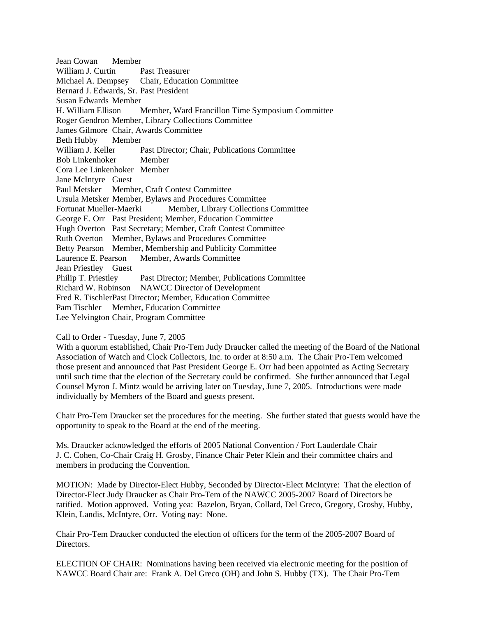Jean Cowan Member William J. Curtin Past Treasurer Michael A. Dempsey Chair, Education Committee Bernard J. Edwards, Sr. Past President Susan Edwards Member H. William Ellison Member, Ward Francillon Time Symposium Committee Roger Gendron Member, Library Collections Committee James Gilmore Chair, Awards Committee Beth Hubby Member William J. Keller Past Director; Chair, Publications Committee Bob Linkenhoker Member Cora Lee Linkenhoker Member Jane McIntyre Guest Paul Metsker Member, Craft Contest Committee Ursula Metsker Member, Bylaws and Procedures Committee Fortunat Mueller-Maerki Member, Library Collections Committee George E. Orr Past President; Member, Education Committee Hugh Overton Past Secretary; Member, Craft Contest Committee Ruth Overton Member, Bylaws and Procedures Committee Betty Pearson Member, Membership and Publicity Committee Laurence E. Pearson Member, Awards Committee Jean Priestley Guest Philip T. Priestley Past Director; Member, Publications Committee Richard W. Robinson NAWCC Director of Development Fred R. Tischler Past Director: Member, Education Committee Pam Tischler Member, Education Committee Lee Yelvington Chair, Program Committee

## Call to Order - Tuesday, June 7, 2005

With a quorum established, Chair Pro-Tem Judy Draucker called the meeting of the Board of the National Association of Watch and Clock Collectors, Inc. to order at 8:50 a.m. The Chair Pro-Tem welcomed those present and announced that Past President George E. Orr had been appointed as Acting Secretary until such time that the election of the Secretary could be confirmed. She further announced that Legal Counsel Myron J. Mintz would be arriving later on Tuesday, June 7, 2005. Introductions were made individually by Members of the Board and guests present.

Chair Pro-Tem Draucker set the procedures for the meeting. She further stated that guests would have the opportunity to speak to the Board at the end of the meeting.

Ms. Draucker acknowledged the efforts of 2005 National Convention / Fort Lauderdale Chair J. C. Cohen, Co-Chair Craig H. Grosby, Finance Chair Peter Klein and their committee chairs and members in producing the Convention.

MOTION: Made by Director-Elect Hubby, Seconded by Director-Elect McIntyre: That the election of Director-Elect Judy Draucker as Chair Pro-Tem of the NAWCC 2005-2007 Board of Directors be ratified. Motion approved. Voting yea: Bazelon, Bryan, Collard, Del Greco, Gregory, Grosby, Hubby, Klein, Landis, McIntyre, Orr. Voting nay: None.

Chair Pro-Tem Draucker conducted the election of officers for the term of the 2005-2007 Board of Directors.

ELECTION OF CHAIR: Nominations having been received via electronic meeting for the position of NAWCC Board Chair are: Frank A. Del Greco (OH) and John S. Hubby (TX). The Chair Pro-Tem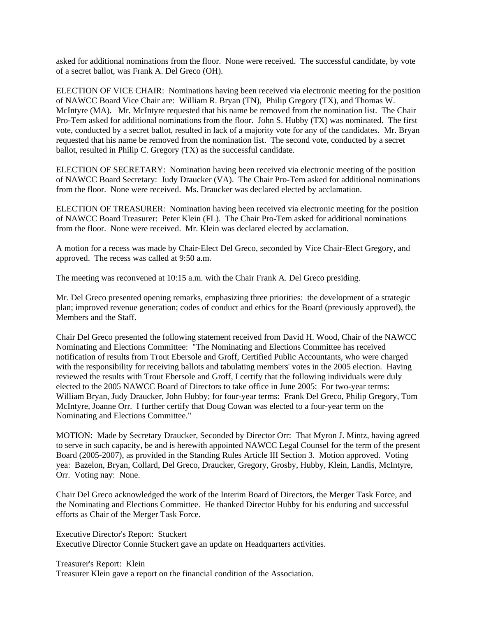asked for additional nominations from the floor. None were received. The successful candidate, by vote of a secret ballot, was Frank A. Del Greco (OH).

ELECTION OF VICE CHAIR: Nominations having been received via electronic meeting for the position of NAWCC Board Vice Chair are: William R. Bryan (TN), Philip Gregory (TX), and Thomas W. McIntyre (MA). Mr. McIntyre requested that his name be removed from the nomination list. The Chair Pro-Tem asked for additional nominations from the floor. John S. Hubby (TX) was nominated. The first vote, conducted by a secret ballot, resulted in lack of a majority vote for any of the candidates. Mr. Bryan requested that his name be removed from the nomination list. The second vote, conducted by a secret ballot, resulted in Philip C. Gregory (TX) as the successful candidate.

ELECTION OF SECRETARY: Nomination having been received via electronic meeting of the position of NAWCC Board Secretary: Judy Draucker (VA). The Chair Pro-Tem asked for additional nominations from the floor. None were received. Ms. Draucker was declared elected by acclamation.

ELECTION OF TREASURER: Nomination having been received via electronic meeting for the position of NAWCC Board Treasurer: Peter Klein (FL). The Chair Pro-Tem asked for additional nominations from the floor. None were received. Mr. Klein was declared elected by acclamation.

A motion for a recess was made by Chair-Elect Del Greco, seconded by Vice Chair-Elect Gregory, and approved. The recess was called at 9:50 a.m.

The meeting was reconvened at 10:15 a.m. with the Chair Frank A. Del Greco presiding.

Mr. Del Greco presented opening remarks, emphasizing three priorities: the development of a strategic plan; improved revenue generation; codes of conduct and ethics for the Board (previously approved), the Members and the Staff.

Chair Del Greco presented the following statement received from David H. Wood, Chair of the NAWCC Nominating and Elections Committee: "The Nominating and Elections Committee has received notification of results from Trout Ebersole and Groff, Certified Public Accountants, who were charged with the responsibility for receiving ballots and tabulating members' votes in the 2005 election. Having reviewed the results with Trout Ebersole and Groff, I certify that the following individuals were duly elected to the 2005 NAWCC Board of Directors to take office in June 2005: For two-year terms: William Bryan, Judy Draucker, John Hubby; for four-year terms: Frank Del Greco, Philip Gregory, Tom McIntyre, Joanne Orr. I further certify that Doug Cowan was elected to a four-year term on the Nominating and Elections Committee."

MOTION: Made by Secretary Draucker, Seconded by Director Orr: That Myron J. Mintz, having agreed to serve in such capacity, be and is herewith appointed NAWCC Legal Counsel for the term of the present Board (2005-2007), as provided in the Standing Rules Article III Section 3. Motion approved. Voting yea: Bazelon, Bryan, Collard, Del Greco, Draucker, Gregory, Grosby, Hubby, Klein, Landis, McIntyre, Orr. Voting nay: None.

Chair Del Greco acknowledged the work of the Interim Board of Directors, the Merger Task Force, and the Nominating and Elections Committee. He thanked Director Hubby for his enduring and successful efforts as Chair of the Merger Task Force.

Executive Director's Report: Stuckert Executive Director Connie Stuckert gave an update on Headquarters activities.

Treasurer's Report: Klein Treasurer Klein gave a report on the financial condition of the Association.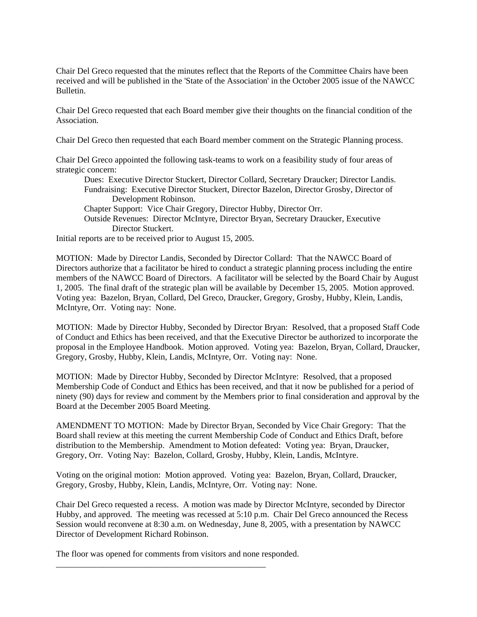Chair Del Greco requested that the minutes reflect that the Reports of the Committee Chairs have been received and will be published in the 'State of the Association' in the October 2005 issue of the NAWCC Bulletin.

Chair Del Greco requested that each Board member give their thoughts on the financial condition of the Association.

Chair Del Greco then requested that each Board member comment on the Strategic Planning process.

Chair Del Greco appointed the following task-teams to work on a feasibility study of four areas of strategic concern:

 Dues: Executive Director Stuckert, Director Collard, Secretary Draucker; Director Landis. Fundraising: Executive Director Stuckert, Director Bazelon, Director Grosby, Director of Development Robinson. Chapter Support: Vice Chair Gregory, Director Hubby, Director Orr. Outside Revenues: Director McIntyre, Director Bryan, Secretary Draucker, Executive Director Stuckert.

Initial reports are to be received prior to August 15, 2005.

MOTION: Made by Director Landis, Seconded by Director Collard: That the NAWCC Board of Directors authorize that a facilitator be hired to conduct a strategic planning process including the entire members of the NAWCC Board of Directors. A facilitator will be selected by the Board Chair by August 1, 2005. The final draft of the strategic plan will be available by December 15, 2005. Motion approved. Voting yea: Bazelon, Bryan, Collard, Del Greco, Draucker, Gregory, Grosby, Hubby, Klein, Landis, McIntyre, Orr. Voting nay: None.

MOTION: Made by Director Hubby, Seconded by Director Bryan: Resolved, that a proposed Staff Code of Conduct and Ethics has been received, and that the Executive Director be authorized to incorporate the proposal in the Employee Handbook. Motion approved. Voting yea: Bazelon, Bryan, Collard, Draucker, Gregory, Grosby, Hubby, Klein, Landis, McIntyre, Orr. Voting nay: None.

MOTION: Made by Director Hubby, Seconded by Director McIntyre: Resolved, that a proposed Membership Code of Conduct and Ethics has been received, and that it now be published for a period of ninety (90) days for review and comment by the Members prior to final consideration and approval by the Board at the December 2005 Board Meeting.

AMENDMENT TO MOTION: Made by Director Bryan, Seconded by Vice Chair Gregory: That the Board shall review at this meeting the current Membership Code of Conduct and Ethics Draft, before distribution to the Membership. Amendment to Motion defeated: Voting yea: Bryan, Draucker, Gregory, Orr. Voting Nay: Bazelon, Collard, Grosby, Hubby, Klein, Landis, McIntyre.

Voting on the original motion: Motion approved. Voting yea: Bazelon, Bryan, Collard, Draucker, Gregory, Grosby, Hubby, Klein, Landis, McIntyre, Orr. Voting nay: None.

Chair Del Greco requested a recess. A motion was made by Director McIntyre, seconded by Director Hubby, and approved. The meeting was recessed at 5:10 p.m. Chair Del Greco announced the Recess Session would reconvene at 8:30 a.m. on Wednesday, June 8, 2005, with a presentation by NAWCC Director of Development Richard Robinson.

The floor was opened for comments from visitors and none responded.

\_\_\_\_\_\_\_\_\_\_\_\_\_\_\_\_\_\_\_\_\_\_\_\_\_\_\_\_\_\_\_\_\_\_\_\_\_\_\_\_\_\_\_\_\_\_\_\_\_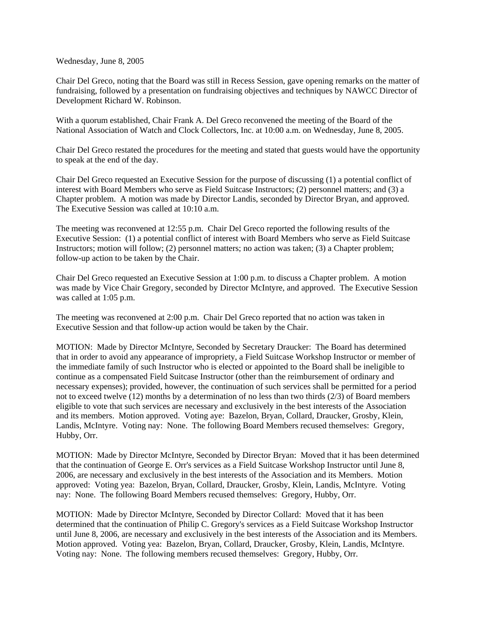Wednesday, June 8, 2005

Chair Del Greco, noting that the Board was still in Recess Session, gave opening remarks on the matter of fundraising, followed by a presentation on fundraising objectives and techniques by NAWCC Director of Development Richard W. Robinson.

With a quorum established, Chair Frank A. Del Greco reconvened the meeting of the Board of the National Association of Watch and Clock Collectors, Inc. at 10:00 a.m. on Wednesday, June 8, 2005.

Chair Del Greco restated the procedures for the meeting and stated that guests would have the opportunity to speak at the end of the day.

Chair Del Greco requested an Executive Session for the purpose of discussing (1) a potential conflict of interest with Board Members who serve as Field Suitcase Instructors; (2) personnel matters; and (3) a Chapter problem. A motion was made by Director Landis, seconded by Director Bryan, and approved. The Executive Session was called at 10:10 a.m.

The meeting was reconvened at 12:55 p.m. Chair Del Greco reported the following results of the Executive Session: (1) a potential conflict of interest with Board Members who serve as Field Suitcase Instructors; motion will follow; (2) personnel matters; no action was taken; (3) a Chapter problem; follow-up action to be taken by the Chair.

Chair Del Greco requested an Executive Session at 1:00 p.m. to discuss a Chapter problem. A motion was made by Vice Chair Gregory, seconded by Director McIntyre, and approved. The Executive Session was called at 1:05 p.m.

The meeting was reconvened at 2:00 p.m. Chair Del Greco reported that no action was taken in Executive Session and that follow-up action would be taken by the Chair.

MOTION: Made by Director McIntyre, Seconded by Secretary Draucker: The Board has determined that in order to avoid any appearance of impropriety, a Field Suitcase Workshop Instructor or member of the immediate family of such Instructor who is elected or appointed to the Board shall be ineligible to continue as a compensated Field Suitcase Instructor (other than the reimbursement of ordinary and necessary expenses); provided, however, the continuation of such services shall be permitted for a period not to exceed twelve (12) months by a determination of no less than two thirds (2/3) of Board members eligible to vote that such services are necessary and exclusively in the best interests of the Association and its members. Motion approved. Voting aye: Bazelon, Bryan, Collard, Draucker, Grosby, Klein, Landis, McIntyre. Voting nay: None. The following Board Members recused themselves: Gregory, Hubby, Orr.

MOTION: Made by Director McIntyre, Seconded by Director Bryan: Moved that it has been determined that the continuation of George E. Orr's services as a Field Suitcase Workshop Instructor until June 8, 2006, are necessary and exclusively in the best interests of the Association and its Members. Motion approved: Voting yea: Bazelon, Bryan, Collard, Draucker, Grosby, Klein, Landis, McIntyre. Voting nay: None. The following Board Members recused themselves: Gregory, Hubby, Orr.

MOTION: Made by Director McIntyre, Seconded by Director Collard: Moved that it has been determined that the continuation of Philip C. Gregory's services as a Field Suitcase Workshop Instructor until June 8, 2006, are necessary and exclusively in the best interests of the Association and its Members. Motion approved. Voting yea: Bazelon, Bryan, Collard, Draucker, Grosby, Klein, Landis, McIntyre. Voting nay: None. The following members recused themselves: Gregory, Hubby, Orr.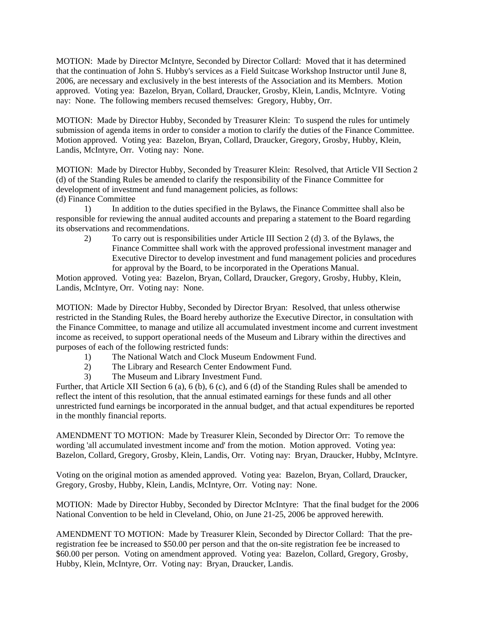MOTION: Made by Director McIntyre, Seconded by Director Collard: Moved that it has determined that the continuation of John S. Hubby's services as a Field Suitcase Workshop Instructor until June 8, 2006, are necessary and exclusively in the best interests of the Association and its Members. Motion approved. Voting yea: Bazelon, Bryan, Collard, Draucker, Grosby, Klein, Landis, McIntyre. Voting nay: None. The following members recused themselves: Gregory, Hubby, Orr.

MOTION: Made by Director Hubby, Seconded by Treasurer Klein: To suspend the rules for untimely submission of agenda items in order to consider a motion to clarify the duties of the Finance Committee. Motion approved. Voting yea: Bazelon, Bryan, Collard, Draucker, Gregory, Grosby, Hubby, Klein, Landis, McIntyre, Orr. Voting nay: None.

MOTION: Made by Director Hubby, Seconded by Treasurer Klein: Resolved, that Article VII Section 2 (d) of the Standing Rules be amended to clarify the responsibility of the Finance Committee for development of investment and fund management policies, as follows: (d) Finance Committee

 1) In addition to the duties specified in the Bylaws, the Finance Committee shall also be responsible for reviewing the annual audited accounts and preparing a statement to the Board regarding its observations and recommendations.

 2) To carry out is responsibilities under Article III Section 2 (d) 3. of the Bylaws, the Finance Committee shall work with the approved professional investment manager and Executive Director to develop investment and fund management policies and procedures for approval by the Board, to be incorporated in the Operations Manual.

Motion approved. Voting yea: Bazelon, Bryan, Collard, Draucker, Gregory, Grosby, Hubby, Klein, Landis, McIntyre, Orr. Voting nay: None.

MOTION: Made by Director Hubby, Seconded by Director Bryan: Resolved, that unless otherwise restricted in the Standing Rules, the Board hereby authorize the Executive Director, in consultation with the Finance Committee, to manage and utilize all accumulated investment income and current investment income as received, to support operational needs of the Museum and Library within the directives and purposes of each of the following restricted funds:

- 1) The National Watch and Clock Museum Endowment Fund.
- 2) The Library and Research Center Endowment Fund.
- 3) The Museum and Library Investment Fund.

Further, that Article XII Section 6 (a), 6 (b), 6 (c), and 6 (d) of the Standing Rules shall be amended to reflect the intent of this resolution, that the annual estimated earnings for these funds and all other unrestricted fund earnings be incorporated in the annual budget, and that actual expenditures be reported in the monthly financial reports.

AMENDMENT TO MOTION: Made by Treasurer Klein, Seconded by Director Orr: To remove the wording 'all accumulated investment income and' from the motion. Motion approved. Voting yea: Bazelon, Collard, Gregory, Grosby, Klein, Landis, Orr. Voting nay: Bryan, Draucker, Hubby, McIntyre.

Voting on the original motion as amended approved. Voting yea: Bazelon, Bryan, Collard, Draucker, Gregory, Grosby, Hubby, Klein, Landis, McIntyre, Orr. Voting nay: None.

MOTION: Made by Director Hubby, Seconded by Director McIntyre: That the final budget for the 2006 National Convention to be held in Cleveland, Ohio, on June 21-25, 2006 be approved herewith.

AMENDMENT TO MOTION: Made by Treasurer Klein, Seconded by Director Collard: That the preregistration fee be increased to \$50.00 per person and that the on-site registration fee be increased to \$60.00 per person. Voting on amendment approved. Voting yea: Bazelon, Collard, Gregory, Grosby, Hubby, Klein, McIntyre, Orr. Voting nay: Bryan, Draucker, Landis.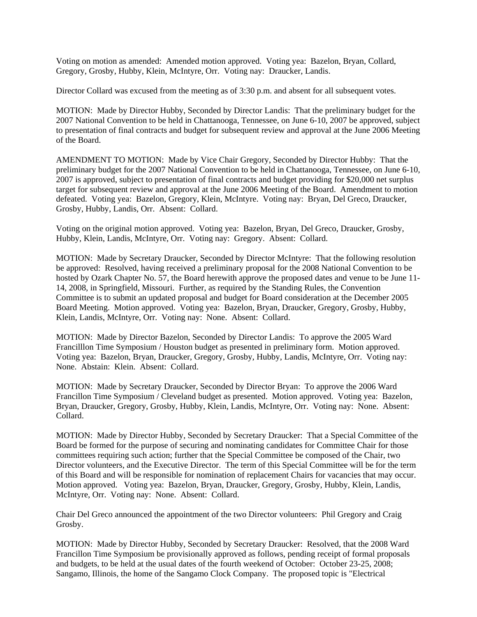Voting on motion as amended: Amended motion approved. Voting yea: Bazelon, Bryan, Collard, Gregory, Grosby, Hubby, Klein, McIntyre, Orr. Voting nay: Draucker, Landis.

Director Collard was excused from the meeting as of 3:30 p.m. and absent for all subsequent votes.

MOTION: Made by Director Hubby, Seconded by Director Landis: That the preliminary budget for the 2007 National Convention to be held in Chattanooga, Tennessee, on June 6-10, 2007 be approved, subject to presentation of final contracts and budget for subsequent review and approval at the June 2006 Meeting of the Board.

AMENDMENT TO MOTION: Made by Vice Chair Gregory, Seconded by Director Hubby: That the preliminary budget for the 2007 National Convention to be held in Chattanooga, Tennessee, on June 6-10, 2007 is approved, subject to presentation of final contracts and budget providing for \$20,000 net surplus target for subsequent review and approval at the June 2006 Meeting of the Board. Amendment to motion defeated. Voting yea: Bazelon, Gregory, Klein, McIntyre. Voting nay: Bryan, Del Greco, Draucker, Grosby, Hubby, Landis, Orr. Absent: Collard.

Voting on the original motion approved. Voting yea: Bazelon, Bryan, Del Greco, Draucker, Grosby, Hubby, Klein, Landis, McIntyre, Orr. Voting nay: Gregory. Absent: Collard.

MOTION: Made by Secretary Draucker, Seconded by Director McIntyre: That the following resolution be approved: Resolved, having received a preliminary proposal for the 2008 National Convention to be hosted by Ozark Chapter No. 57, the Board herewith approve the proposed dates and venue to be June 11- 14, 2008, in Springfield, Missouri. Further, as required by the Standing Rules, the Convention Committee is to submit an updated proposal and budget for Board consideration at the December 2005 Board Meeting. Motion approved. Voting yea: Bazelon, Bryan, Draucker, Gregory, Grosby, Hubby, Klein, Landis, McIntyre, Orr. Voting nay: None. Absent: Collard.

MOTION: Made by Director Bazelon, Seconded by Director Landis: To approve the 2005 Ward Francilllon Time Symposium / Houston budget as presented in preliminary form. Motion approved. Voting yea: Bazelon, Bryan, Draucker, Gregory, Grosby, Hubby, Landis, McIntyre, Orr. Voting nay: None. Abstain: Klein. Absent: Collard.

MOTION: Made by Secretary Draucker, Seconded by Director Bryan: To approve the 2006 Ward Francillon Time Symposium / Cleveland budget as presented. Motion approved. Voting yea: Bazelon, Bryan, Draucker, Gregory, Grosby, Hubby, Klein, Landis, McIntyre, Orr. Voting nay: None. Absent: Collard.

MOTION: Made by Director Hubby, Seconded by Secretary Draucker: That a Special Committee of the Board be formed for the purpose of securing and nominating candidates for Committee Chair for those committees requiring such action; further that the Special Committee be composed of the Chair, two Director volunteers, and the Executive Director. The term of this Special Committee will be for the term of this Board and will be responsible for nomination of replacement Chairs for vacancies that may occur. Motion approved. Voting yea: Bazelon, Bryan, Draucker, Gregory, Grosby, Hubby, Klein, Landis, McIntyre, Orr. Voting nay: None. Absent: Collard.

Chair Del Greco announced the appointment of the two Director volunteers: Phil Gregory and Craig Grosby.

MOTION: Made by Director Hubby, Seconded by Secretary Draucker: Resolved, that the 2008 Ward Francillon Time Symposium be provisionally approved as follows, pending receipt of formal proposals and budgets, to be held at the usual dates of the fourth weekend of October: October 23-25, 2008; Sangamo, Illinois, the home of the Sangamo Clock Company. The proposed topic is "Electrical